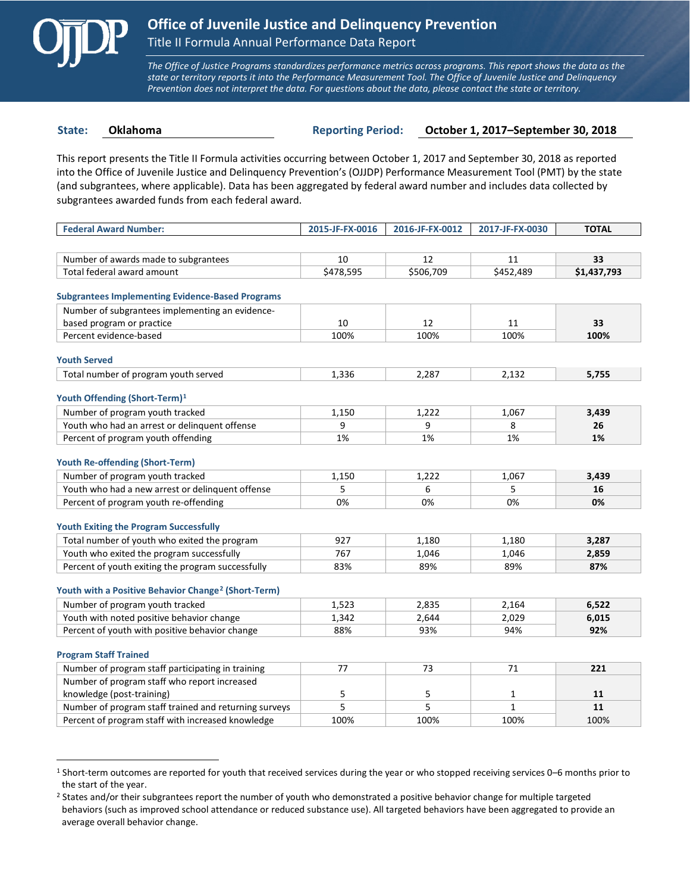

 $\overline{a}$ 

*The Office of Justice Programs standardizes performance metrics across programs. This report shows the data as the state or territory reports it into the Performance Measurement Tool. The Office of Juvenile Justice and Delinquency Prevention does not interpret the data. For questions about the data, please contact the state or territory.*

**State: Oklahoma Reporting Period: October 1, 2017–September 30, 2018**

This report presents the Title II Formula activities occurring between October 1, 2017 and September 30, 2018 as reported into the Office of Juvenile Justice and Delinquency Prevention's (OJJDP) Performance Measurement Tool (PMT) by the state (and subgrantees, where applicable). Data has been aggregated by federal award number and includes data collected by subgrantees awarded funds from each federal award.

| <b>Federal Award Number:</b>                                    | 2015-JF-FX-0016 | 2016-JF-FX-0012 | 2017-JF-FX-0030 | <b>TOTAL</b> |
|-----------------------------------------------------------------|-----------------|-----------------|-----------------|--------------|
|                                                                 |                 |                 |                 |              |
| Number of awards made to subgrantees                            | 10              | 12              | 11              | 33           |
| Total federal award amount                                      | \$478,595       | \$506,709       | \$452,489       | \$1,437,793  |
|                                                                 |                 |                 |                 |              |
| <b>Subgrantees Implementing Evidence-Based Programs</b>         |                 |                 |                 |              |
| Number of subgrantees implementing an evidence-                 |                 |                 |                 |              |
| based program or practice                                       | 10              | 12              | 11              | 33           |
| Percent evidence-based                                          | 100%            | 100%            | 100%            | 100%         |
| <b>Youth Served</b>                                             |                 |                 |                 |              |
| Total number of program youth served                            | 1,336           | 2,287           | 2,132           | 5,755        |
|                                                                 |                 |                 |                 |              |
| Youth Offending (Short-Term) <sup>1</sup>                       |                 |                 |                 |              |
| Number of program youth tracked                                 | 1,150           | 1,222           | 1,067           | 3,439        |
| Youth who had an arrest or delinguent offense                   | 9               | 9               | 8               | 26           |
| Percent of program youth offending                              | 1%              | 1%              | 1%              | 1%           |
| <b>Youth Re-offending (Short-Term)</b>                          |                 |                 |                 |              |
| Number of program youth tracked                                 | 1,150           | 1,222           | 1,067           | 3,439        |
| Youth who had a new arrest or delinquent offense                | 5               | 6               | 5               | 16           |
| Percent of program youth re-offending                           | 0%              | 0%              | 0%              | 0%           |
|                                                                 |                 |                 |                 |              |
| <b>Youth Exiting the Program Successfully</b>                   |                 |                 |                 |              |
| Total number of youth who exited the program                    | 927             | 1,180           | 1,180           | 3,287        |
| Youth who exited the program successfully                       | 767             | 1,046           | 1,046           | 2,859        |
| Percent of youth exiting the program successfully               | 83%             | 89%             | 89%             | 87%          |
|                                                                 |                 |                 |                 |              |
| Youth with a Positive Behavior Change <sup>2</sup> (Short-Term) |                 |                 |                 |              |
| Number of program youth tracked                                 | 1,523           | 2,835           | 2,164           | 6,522        |
| Youth with noted positive behavior change                       | 1,342           | 2,644           | 2,029           | 6,015        |
| Percent of youth with positive behavior change                  | 88%             | 93%             | 94%             | 92%          |
| <b>Program Staff Trained</b>                                    |                 |                 |                 |              |
| Number of program staff participating in training               | 77              | 73              | 71              | 221          |
| Number of program staff who report increased                    |                 |                 |                 |              |
| knowledge (post-training)                                       | 5               | 5               | 1               | 11           |
| Number of program staff trained and returning surveys           | 5               | 5               | $\mathbf{1}$    | 11           |
| Percent of program staff with increased knowledge               | 100%            | 100%            | 100%            | 100%         |

<span id="page-0-0"></span><sup>1</sup> Short-term outcomes are reported for youth that received services during the year or who stopped receiving services 0–6 months prior to the start of the year.

<span id="page-0-1"></span><sup>&</sup>lt;sup>2</sup> States and/or their subgrantees report the number of youth who demonstrated a positive behavior change for multiple targeted behaviors (such as improved school attendance or reduced substance use). All targeted behaviors have been aggregated to provide an average overall behavior change.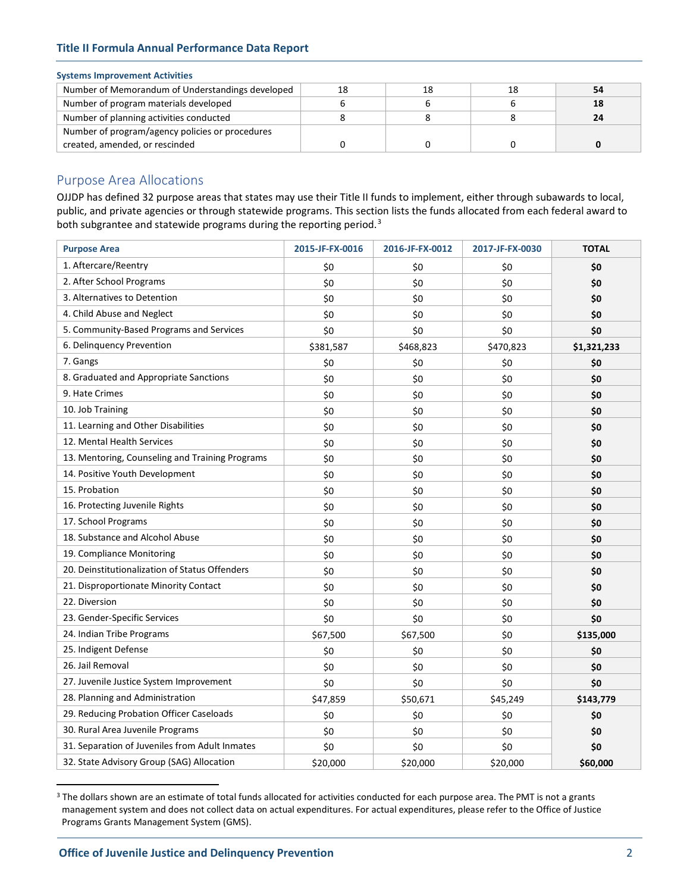# **Title II Formula Annual Performance Data Report**

### **Systems Improvement Activities**

| Number of Memorandum of Understandings developed | 18 | 18 |  |
|--------------------------------------------------|----|----|--|
| Number of program materials developed            |    |    |  |
| Number of planning activities conducted          |    |    |  |
| Number of program/agency policies or procedures  |    |    |  |
| created, amended, or rescinded                   |    |    |  |

# Purpose Area Allocations

OJJDP has defined 32 purpose areas that states may use their Title II funds to implement, either through subawards to local, public, and private agencies or through statewide programs. This section lists the funds allocated from each federal award to both subgrantee and statewide programs during the reporting period.<sup>[3](#page-1-0)</sup>

| <b>Purpose Area</b>                             | 2015-JF-FX-0016 | 2016-JF-FX-0012 | 2017-JF-FX-0030 | <b>TOTAL</b> |
|-------------------------------------------------|-----------------|-----------------|-----------------|--------------|
| 1. Aftercare/Reentry                            | \$0             | \$0             | \$0             | \$0          |
| 2. After School Programs                        | \$0             | \$0             | \$0             | \$0          |
| 3. Alternatives to Detention                    | \$0             | \$0             | \$0             | \$0          |
| 4. Child Abuse and Neglect                      | \$0             | \$0             | \$0             | \$0          |
| 5. Community-Based Programs and Services        | \$0             | \$0             | \$0             | \$0          |
| 6. Delinquency Prevention                       | \$381,587       | \$468,823       | \$470,823       | \$1,321,233  |
| 7. Gangs                                        | \$0             | \$0             | \$0             | \$0          |
| 8. Graduated and Appropriate Sanctions          | \$0             | \$0             | \$0             | \$0          |
| 9. Hate Crimes                                  | \$0             | \$0             | \$0             | \$0          |
| 10. Job Training                                | \$0             | \$0             | \$0             | \$0          |
| 11. Learning and Other Disabilities             | \$0             | \$0             | \$0             | \$0          |
| 12. Mental Health Services                      | \$0             | \$0             | \$0             | \$0          |
| 13. Mentoring, Counseling and Training Programs | \$0             | \$0             | \$0             | \$0          |
| 14. Positive Youth Development                  | \$0             | \$0             | \$0             | \$0          |
| 15. Probation                                   | \$0             | \$0             | \$0             | \$0          |
| 16. Protecting Juvenile Rights                  | \$0             | \$0             | \$0             | \$0          |
| 17. School Programs                             | \$0             | \$0             | \$0             | \$0          |
| 18. Substance and Alcohol Abuse                 | \$0             | \$0             | \$0             | \$0          |
| 19. Compliance Monitoring                       | \$0             | \$0             | \$0             | \$0          |
| 20. Deinstitutionalization of Status Offenders  | \$0             | \$0             | \$0             | \$0          |
| 21. Disproportionate Minority Contact           | \$0             | \$0             | \$0             | \$0          |
| 22. Diversion                                   | \$0             | \$0             | \$0             | \$0          |
| 23. Gender-Specific Services                    | \$0             | \$0             | \$0             | \$0          |
| 24. Indian Tribe Programs                       | \$67,500        | \$67,500        | \$0             | \$135,000    |
| 25. Indigent Defense                            | \$0             | \$0             | \$0             | \$0          |
| 26. Jail Removal                                | \$0             | \$0             | \$0             | \$0          |
| 27. Juvenile Justice System Improvement         | \$0             | \$0             | \$0             | \$0          |
| 28. Planning and Administration                 | \$47,859        | \$50,671        | \$45,249        | \$143,779    |
| 29. Reducing Probation Officer Caseloads        | \$0             | \$0             | \$0             | \$0          |
| 30. Rural Area Juvenile Programs                | \$0             | \$0             | \$0             | \$0          |
| 31. Separation of Juveniles from Adult Inmates  | \$0             | \$0             | \$0             | \$0          |
| 32. State Advisory Group (SAG) Allocation       | \$20,000        | \$20,000        | \$20,000        | \$60,000     |

<span id="page-1-0"></span><sup>&</sup>lt;sup>3</sup> The dollars shown are an estimate of total funds allocated for activities conducted for each purpose area. The PMT is not a grants management system and does not collect data on actual expenditures. For actual expenditures, please refer to the Office of Justice Programs Grants Management System (GMS).

 $\overline{a}$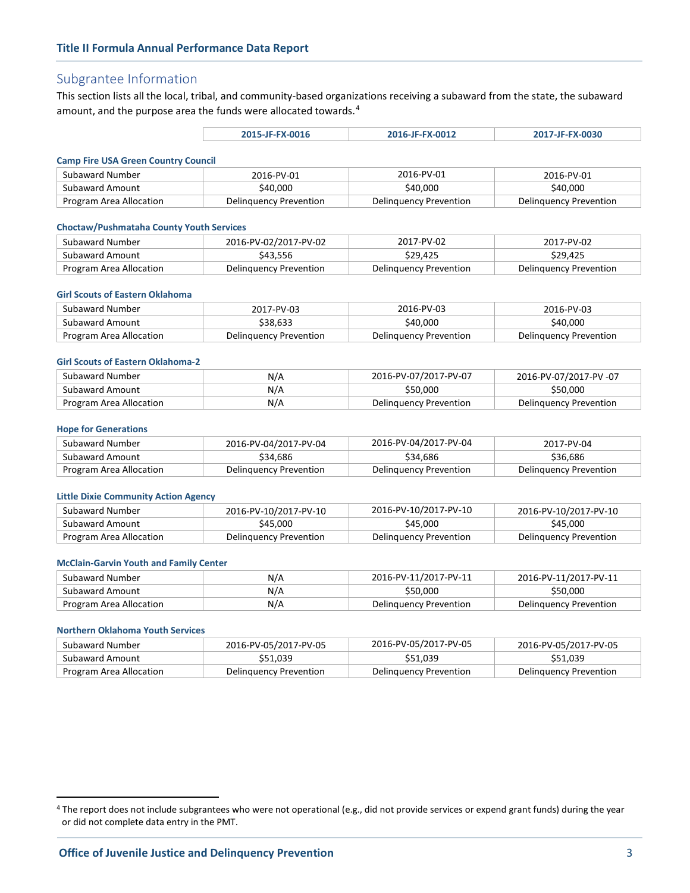# Subgrantee Information

This section lists all the local, tribal, and community-based organizations receiving a subaward from the state, the subaward amount, and the purpose area the funds were allocated towards.<sup>[4](#page-2-0)</sup>

| 2015-JF-FX-0016 | 2016-JF-FX-0012 | 2017-JF-FX-0030 |
|-----------------|-----------------|-----------------|
|-----------------|-----------------|-----------------|

#### **Camp Fire USA Green Country Council**

| Subaward Number         | 2016-PV-01             | 2016-PV-01             | 2016-PV-01             |
|-------------------------|------------------------|------------------------|------------------------|
| Subaward Amount         | \$40,000               | \$40.000               | \$40,000               |
| Program Area Allocation | Delinguency Prevention | Delinguency Prevention | Delinguency Prevention |

#### **Choctaw/Pushmataha County Youth Services**

| Subaward Number         | 2016-PV-02/2017-PV-02  | 2017-PV-02             | 2017-PV-02             |
|-------------------------|------------------------|------------------------|------------------------|
| Subaward Amount         | \$43.556               | \$29.425               | \$29.425               |
| Program Area Allocation | Delinguency Prevention | Delinguency Prevention | Delinguency Prevention |

#### **Girl Scouts of Eastern Oklahoma**

| Subaward Number         | 2017-PV-03             | 2016-PV-03             | 2016-PV-03             |
|-------------------------|------------------------|------------------------|------------------------|
| Subaward Amount         | \$38.633               | \$40.000               | \$40.000               |
| Program Area Allocation | Delinguency Prevention | Delinguency Prevention | Delinguency Prevention |

### **Girl Scouts of Eastern Oklahoma-2**

| Subaward Number         | N/A | 2016-PV-07/2017-PV-07  | 2016-PV-07/2017-PV-07  |
|-------------------------|-----|------------------------|------------------------|
| Subaward Amount         | N/A | \$50.000               | \$50.000               |
| Program Area Allocation | N/A | Delinguency Prevention | Delinguency Prevention |

#### **Hope for Generations**

| Subaward Number         | 2016-PV-04/2017-PV-04  | 2016-PV-04/2017-PV-04  | 2017-PV-04             |
|-------------------------|------------------------|------------------------|------------------------|
| Subaward Amount         | \$34,686               | \$34,686               | \$36.686               |
| Program Area Allocation | Delinguency Prevention | Delinguency Prevention | Delinguency Prevention |

#### **Little Dixie Community Action Agency**

| Subaward Number         | 2016-PV-10/2017-PV-10  | 2016-PV-10/2017-PV-10  | 2016-PV-10/2017-PV-10  |
|-------------------------|------------------------|------------------------|------------------------|
| Subaward Amount         | \$45,000               | \$45.000               | \$45,000               |
| Program Area Allocation | Delinguency Prevention | Delinguency Prevention | Delinguency Prevention |

#### **McClain-Garvin Youth and Family Center**

| Subaward Number         | N/A | 2016-PV-11/2017-PV-11  | 2016-PV-11/2017-PV-11  |
|-------------------------|-----|------------------------|------------------------|
| Subaward Amount         | N/A | \$50,000               | \$50.000               |
| Program Area Allocation | N/A | Delinguency Prevention | Delinguency Prevention |

#### **Northern Oklahoma Youth Services**

 $\overline{a}$ 

| Subaward Number         | 2016-PV-05/2017-PV-05  | 2016-PV-05/2017-PV-05  | 2016-PV-05/2017-PV-05  |
|-------------------------|------------------------|------------------------|------------------------|
| Subaward Amount         | \$51.039               | \$51.039               | \$51.039               |
| Program Area Allocation | Delinguency Prevention | Delinguency Prevention | Delinguency Prevention |

<span id="page-2-0"></span><sup>&</sup>lt;sup>4</sup> The report does not include subgrantees who were not operational (e.g., did not provide services or expend grant funds) during the year or did not complete data entry in the PMT.